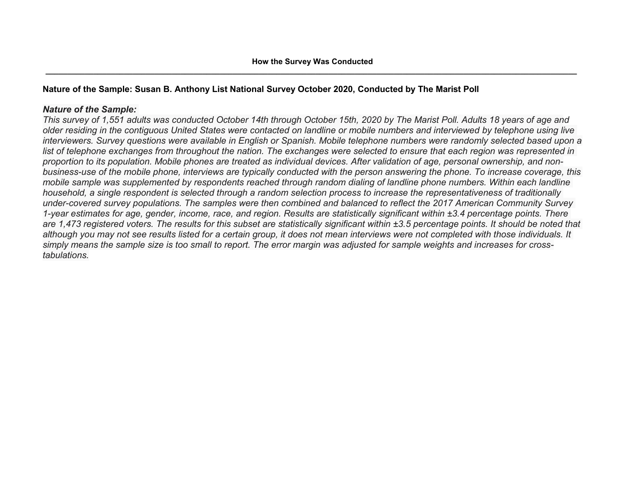# **Nature of the Sample: Susan B. Anthony List National Survey October 2020, Conducted by The Marist Poll**

## *Nature of the Sample:*

*This survey of 1,551 adults was conducted October 14th through October 15th, 2020 by The Marist Poll. Adults 18 years of age and older residing in the contiguous United States were contacted on landline or mobile numbers and interviewed by telephone using live interviewers. Survey questions were available in English or Spanish. Mobile telephone numbers were randomly selected based upon a list of telephone exchanges from throughout the nation. The exchanges were selected to ensure that each region was represented in proportion to its population. Mobile phones are treated as individual devices. After validation of age, personal ownership, and nonbusiness-use of the mobile phone, interviews are typically conducted with the person answering the phone. To increase coverage, this mobile sample was supplemented by respondents reached through random dialing of landline phone numbers. Within each landline household, a single respondent is selected through a random selection process to increase the representativeness of traditionally under-covered survey populations. The samples were then combined and balanced to reflect the 2017 American Community Survey 1-year estimates for age, gender, income, race, and region. Results are statistically significant within ±3.4 percentage points. There are 1,473 registered voters. The results for this subset are statistically significant within ±3.5 percentage points. It should be noted that although you may not see results listed for a certain group, it does not mean interviews were not completed with those individuals. It simply means the sample size is too small to report. The error margin was adjusted for sample weights and increases for crosstabulations.*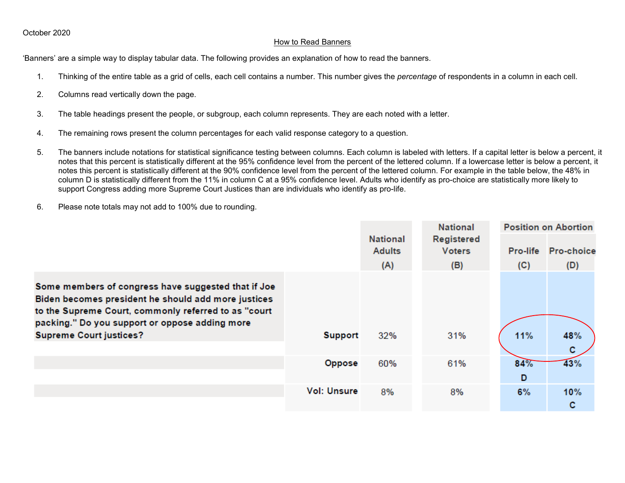## How to Read Banners

'Banners' are a simple way to display tabular data. The following provides an explanation of how to read the banners.

- 1. Thinking of the entire table as a grid of cells, each cell contains a number. This number gives the *percentage* of respondents in a column in each cell.
- 2. Columns read vertically down the page.
- 3. The table headings present the people, or subgroup, each column represents. They are each noted with a letter.
- 4. The remaining rows present the column percentages for each valid response category to a question.
- 5. The banners include notations for statistical significance testing between columns. Each column is labeled with letters. If a capital letter is below a percent, it notes that this percent is statistically different at the 95% confidence level from the percent of the lettered column. If a lowercase letter is below a percent, it notes this percent is statistically different at the 90% confidence level from the percent of the lettered column. For example in the table below, the 48% in column D is statistically different from the 11% in column C at a 95% confidence level. Adults who identify as pro-choice are statistically more likely to support Congress adding more Supreme Court Justices than are individuals who identify as pro-life.
- 6. Please note totals may not add to 100% due to rounding.

|                                                                                                                                                                                                                                                        |                    |                                         | <b>National</b>                    |     | <b>Position on Abortion</b> |
|--------------------------------------------------------------------------------------------------------------------------------------------------------------------------------------------------------------------------------------------------------|--------------------|-----------------------------------------|------------------------------------|-----|-----------------------------|
|                                                                                                                                                                                                                                                        |                    | <b>National</b><br><b>Adults</b><br>(A) | Registered<br><b>Voters</b><br>(B) | (C) | Pro-life Pro-choice<br>(D)  |
| Some members of congress have suggested that if Joe<br>Biden becomes president he should add more justices<br>to the Supreme Court, commonly referred to as "court<br>packing." Do you support or oppose adding more<br><b>Supreme Court justices?</b> | <b>Support</b>     | 32%                                     | 31%                                | 11% | 48%<br>c                    |
|                                                                                                                                                                                                                                                        | Oppose             | 60%                                     | 61%                                | 84% | 43%                         |
|                                                                                                                                                                                                                                                        |                    |                                         |                                    | D   |                             |
|                                                                                                                                                                                                                                                        | <b>Vol: Unsure</b> | 8%                                      | 8%                                 | 6%  | 10%<br>С                    |